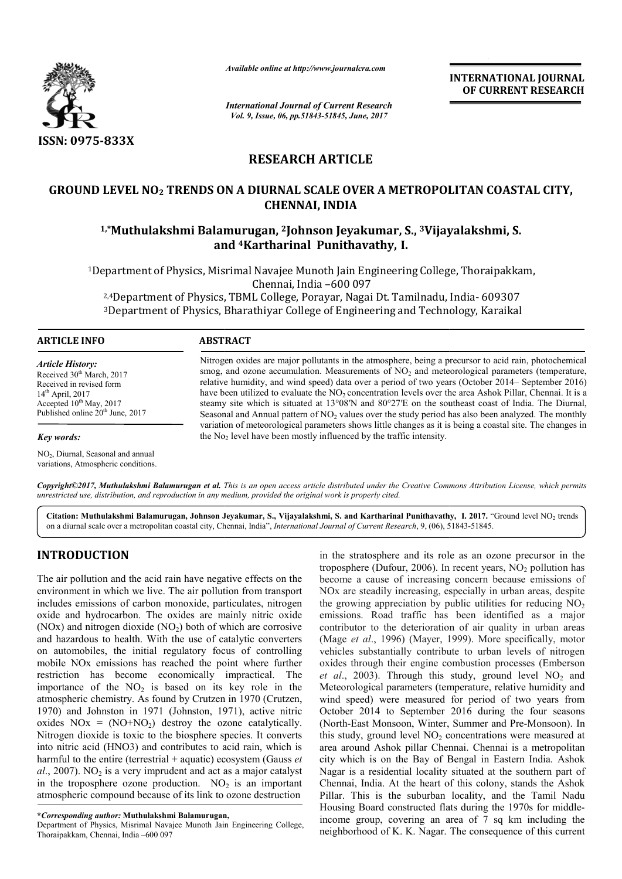

*Available online at http://www.journalcra.com*

*International Journal of Current Research Vol. 9, Issue, 06, pp.51843-51845, June, 2017*

**INTERNATIONAL JOURNAL OF CURRENT RESEARCH** 

## **RESEARCH ARTICLE**

# **GROUND LEVEL NO2 TRENDS ON A DIURNAL SCALE OVER A METROPOLITAN COASTAL CITY,**  LEVEL NO<sub>2</sub> TRENDS ON A DIURNAL SCALE OVER A METROPOLITAN COAST<br>CHENNAI, INDIA<br><sup>1,\*</sup>Muthulakshmi Balamurugan, <sup>2</sup>Johnson Jeyakumar, S., <sup>3</sup>Vijayalakshmi, S. **CHENNAI, INDIA**

# **and 4Kartharinal Punithavathy, I.**

1Department of Physics, Misrimal Navajee Munoth Jain Engineering College, Thoraipakkam, Department Chennai, India –600 097 partment of Physics, Misrimal Navajee Munoth Jain Engineering College, Thoraipakk:<br>Chennai, India –600 097<br><sup>2,4</sup>Department of Physics, TBML College, Porayar, Nagai Dt. Tamilnadu, India- 609307 <sup>3</sup>Department of Physics, Bharathiyar College of Engineering and Technology, Karaikal

#### **ARTICLE INFO ABSTRACT**

*Key words:*

*Article History:* Received 30<sup>th</sup> March, 2017 Received in revised form  $14<sup>th</sup>$  April, 2017 Accepted  $10^{th}$  May, 2017 Published online 20<sup>th</sup> June, 2017

NO2, Diurnal, Seasonal and annual variations, Atmospheric conditions.

Nitrogen oxides are major pollutants in the atmosphere, being a precursor to acid rain, photochemical smog, and ozone accumulation. Measurements of  $NO<sub>2</sub>$  and meteorological parameters (temperature, Nitrogen oxides are major pollutants in the atmosphere, being a precursor to acid rain, photochemical smog, and ozone accumulation. Measurements of  $NO<sub>2</sub>$  and meteorological parameters (temperature, relative humidity, have been utilized to evaluate the  $NO<sub>2</sub>$  concentration levels over the area Ashok Pillar, Chennai. It is a steamy site which is situated at 13°08 13°08′N and 80°27′E on the southeast coast of India. The Diurnal, Seasonal and Annual pattern of  $NO<sub>2</sub>$  values over the study period has also been analyzed. The monthly variation of meteorological parameters shows little changes as it is being a coastal site. The changes in the  $No<sub>2</sub>$  level have been mostly influenced by the traffic intensity. have been utilized to evaluate the  $NO_2$  concentration levels over the area Ashok Pillar, Chennai.<br>steamy site which is situated at 13°08′N and 80°27′E on the southeast coast of India. The Di<br>Seasonal and Annual pattern o

*Copyright©2017, Muthulakshmi Balamurugan et al. This is an open access article distributed under the Creative Commons Att an article Attribution License, which permits unrestricted use, distribution, and reproduction in any medium, provided the original work is properly cited.*

Citation: Muthulakshmi Balamurugan, Johnson Jeyakumar, S., Vijayalakshmi, S. and Kartharinal Punithavathy, I. 2017. "Ground level NO<sub>2</sub> trends on a diurnal scale over a metropolitan coastal city, Chennai, India", *International Journal of Current Research*, 9, (06), 51843 51843-51845.

### **INTRODUCTION**

The air pollution and the acid rain have negative effects on the environment in which we live. The air pollution from transport includes emissions of carbon monoxide, particulates, nitrogen oxide and hydrocarbon. The oxides are mainly nitric oxide  $(NOx)$  and nitrogen dioxide  $(NO<sub>2</sub>)$  both of which are corrosive and hazardous to health. With the use of catalytic converters (NOx) and nitrogen dioxide  $(NO<sub>2</sub>)$  both of which are corrosive and hazardous to health. With the use of catalytic converters on automobiles, the initial regulatory focus of controlling mobile NOx emissions has reached the point where further restriction has become economically impractical. The importance of the  $NO<sub>2</sub>$  is based on its key role in the atmospheric chemistry. As found by Crutzen in 1970 (Crutzen, 1970) and Johnston in 1971 (Johnston, 1971 1971), active nitric oxides  $NOx = (NO+NO<sub>2</sub>)$  destroy the ozone catalytically. Nitrogen dioxide is toxic to the biosphere species. It converts into nitric acid (HNO3) and contributes to acid rain, which is oxides  $NOx = (NO+NO<sub>2</sub>)$  destroy the ozone catalytically.<br>Nitrogen dioxide is toxic to the biosphere species. It converts<br>into nitric acid (HNO3) and contributes to acid rain, which is<br>harmful to the entire (terrestrial +  $al$ , 2007). NO<sub>2</sub> is a very imprudent and act as a major catalyst in the troposphere ozone production.  $NO<sub>2</sub>$  is an important atmospheric compound because of its link to ozone destruction

**\****Corresponding author:* **Muthulakshmi Balamurugan,**

Department of Physics, Misrimal Navajee Munoth Jain Engineering College, Thoraipakkam, Chennai, India –600 097

in the stratosphere and its role as an ozone precursor in the in the stratosphere and its role as an ozone precursor in the troposphere (Dufour,  $2006$ ). In recent years,  $NO<sub>2</sub>$  pollution has become a cause of increasing concern because emissions of NOx are steadily increasing, especially in urban areas, despite the growing appreciation by public utilities for reducing NO emissions. Road traffic has been identified as a major contributor to the deterioration of air quality in urban areas contributor to the deterioration of air quality in urban areas (Mage *et al.*, 1996) (Mayer, 1999). More specifically, motor vehicles substantially contribute to urban levels of nitrogen vehicles substantially contribute to urban levels of nitrogen oxides through their engine combustion processes (Emberson *et al.*, 2003). Through this study, ground level  $NO<sub>2</sub>$  and Meteorological parameters (temperature, relative humidity and wind speed) were measured for period of two years from October 2014 to September 2016 during the four seasons Meteorological parameters (temperature, relative humidity and wind speed) were measured for period of two years from October 2014 to September 2016 during the four seasons (North-East Monsoon, Winter, Summer and Pre-Monsoo this study, ground level  $NO<sub>2</sub>$  concentrations were measured at area around Ashok pillar Chennai. Chennai is a metropolitan city which is on the Bay of Bengal in Eastern India. Ashok Nagar is a residential locality situated at the southern part of Chennai, India. At the heart of this colony, stands the Ashok Pillar. This is the suburban locality, and the Tamil Nadu Housing Board constructed flats during the 1970s for middle income group, covering an area of 7 sq km including the neighborhood of K. K. Nagar. The consequence of this current become a cause of increasing concern because emissions of NOx are steadily increasing, especially in urban areas, despite the growing appreciation by public utilities for reducing  $NO<sub>2</sub>$ area around Ashok pillar Chennai. Chennai is a metropolitan<br>city which is on the Bay of Bengal in Eastern India. Ashok<br>Nagar is a residential locality situated at the southern part of India. At the heart of this colony, stands the Ashok<br>is is the suburban locality, and the Tamil Nadu<br>Board constructed flats during the 1970s for middle-**EXERCIST SECTS (SET ASSEMBATIONAL COURNAL CONSTRAL CONSTRAL CONSTRAL CONSTRAL CONSTRAL CONSTRAL CONSTRAL CONSTRAL CONSTRAL CONSTRAL CONSTRAL CONSTRAL CONSTRAL CONSTRAL CONSTRAL CONSTRAL CONSTRAL TRISP (SUPREMET AND SUPREM**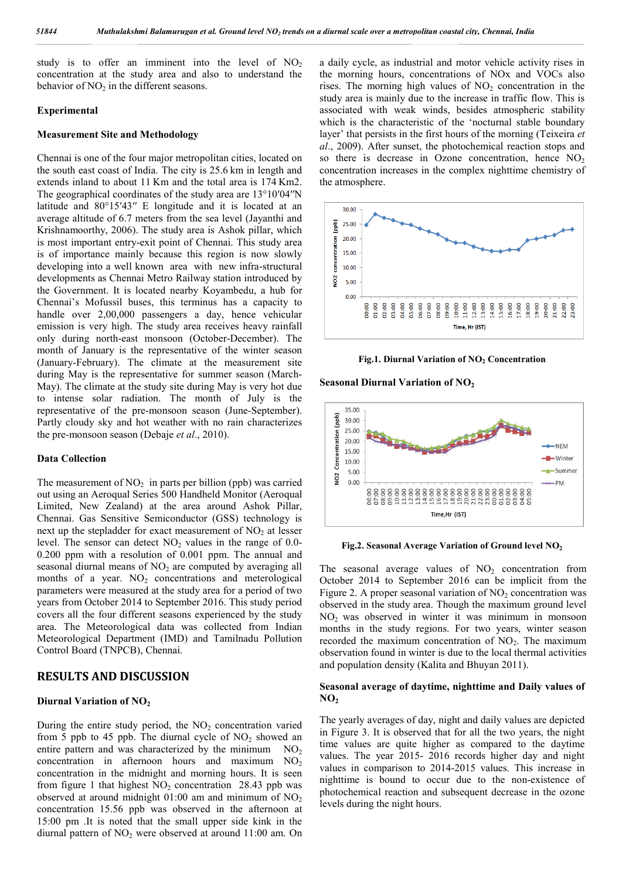study is to offer an imminent into the level of  $NO<sub>2</sub>$ concentration at the study area and also to understand the behavior of  $NO<sub>2</sub>$  in the different seasons.

#### **Experimental**

#### **Measurement Site and Methodology**

Chennai is one of the four major metropolitan cities, located on the south east coast of India. The city is 25.6 km in length and extends inland to about 11 Km and the total area is 174 Km2. The geographical coordinates of the study area are 13°10′04′′N latitude and 80°15′43′′ E longitude and it is located at an average altitude of 6.7 meters from the sea level (Jayanthi and Krishnamoorthy, 2006). The study area is Ashok pillar, which is most important entry-exit point of Chennai. This study area is of importance mainly because this region is now slowly developing into a well known area with new infra-structural developments as Chennai Metro Railway station introduced by the Government. It is located nearby Koyambedu, a hub for Chennai's Mofussil buses, this terminus has a capacity to handle over 2,00,000 passengers a day, hence vehicular emission is very high. The study area receives heavy rainfall only during north-east monsoon (October-December). The month of January is the representative of the winter season (January-February). The climate at the measurement site during May is the representative for summer season (March-May). The climate at the study site during May is very hot due to intense solar radiation. The month of July is the representative of the pre-monsoon season (June-September). Partly cloudy sky and hot weather with no rain characterizes the pre-monsoon season (Debaje *et al*., 2010).

#### **Data Collection**

The measurement of  $NO<sub>2</sub>$  in parts per billion (ppb) was carried out using an Aeroqual Series 500 Handheld Monitor (Aeroqual Limited, New Zealand) at the area around Ashok Pillar, Chennai. Gas Sensitive Semiconductor (GSS) technology is next up the stepladder for exact measurement of  $NO<sub>2</sub>$  at lesser level. The sensor can detect  $NO<sub>2</sub>$  values in the range of 0.0-0.200 ppm with a resolution of 0.001 ppm. The annual and seasonal diurnal means of  $NO<sub>2</sub>$  are computed by averaging all months of a year.  $NO<sub>2</sub>$  concentrations and meterological parameters were measured at the study area for a period of two years from October 2014 to September 2016. This study period covers all the four different seasons experienced by the study area. The Meteorological data was collected from Indian Meteorological Department (IMD) and Tamilnadu Pollution Control Board (TNPCB), Chennai.

#### **RESULTS AND DISCUSSION**

#### **Diurnal Variation of NO2**

During the entire study period, the  $NO<sub>2</sub>$  concentration varied from 5 ppb to 45 ppb. The diurnal cycle of  $NO<sub>2</sub>$  showed an entire pattern and was characterized by the minimum  $NO<sub>2</sub>$ concentration in afternoon hours and maximum  $NO<sub>2</sub>$ concentration in the midnight and morning hours. It is seen from figure 1 that highest  $NO<sub>2</sub>$  concentration 28.43 ppb was observed at around midnight  $01:00$  am and minimum of  $NO<sub>2</sub>$ concentration 15.56 ppb was observed in the afternoon at 15:00 pm .It is noted that the small upper side kink in the diurnal pattern of  $NO<sub>2</sub>$  were observed at around 11:00 am. On a daily cycle, as industrial and motor vehicle activity rises in the morning hours, concentrations of NOx and VOCs also rises. The morning high values of  $NO<sub>2</sub>$  concentration in the study area is mainly due to the increase in traffic flow. This is associated with weak winds, besides atmospheric stability which is the characteristic of the 'nocturnal stable boundary layer' that persists in the first hours of the morning (Teixeira *et al*., 2009). After sunset, the photochemical reaction stops and so there is decrease in Ozone concentration, hence  $NO<sub>2</sub>$ concentration increases in the complex nighttime chemistry of the atmosphere.



**Fig.1. Diurnal Variation of NO2 Concentration**

**Seasonal Diurnal Variation of NO2**



**Fig.2.** Seasonal Average Variation of Ground level NO<sub>2</sub>

The seasonal average values of  $NO<sub>2</sub>$  concentration from October 2014 to September 2016 can be implicit from the Figure 2. A proper seasonal variation of  $NO<sub>2</sub>$  concentration was observed in the study area. Though the maximum ground level  $NO<sub>2</sub>$  was observed in winter it was minimum in monsoon months in the study regions. For two years, winter season recorded the maximum concentration of  $NO<sub>2</sub>$ . The maximum observation found in winter is due to the local thermal activities and population density (Kalita and Bhuyan 2011).

#### **Seasonal average of daytime, nighttime and Daily values of NO2**

The yearly averages of day, night and daily values are depicted in Figure 3. It is observed that for all the two years, the night time values are quite higher as compared to the daytime values. The year 2015- 2016 records higher day and night values in comparison to 2014-2015 values. This increase in nighttime is bound to occur due to the non-existence of photochemical reaction and subsequent decrease in the ozone levels during the night hours.